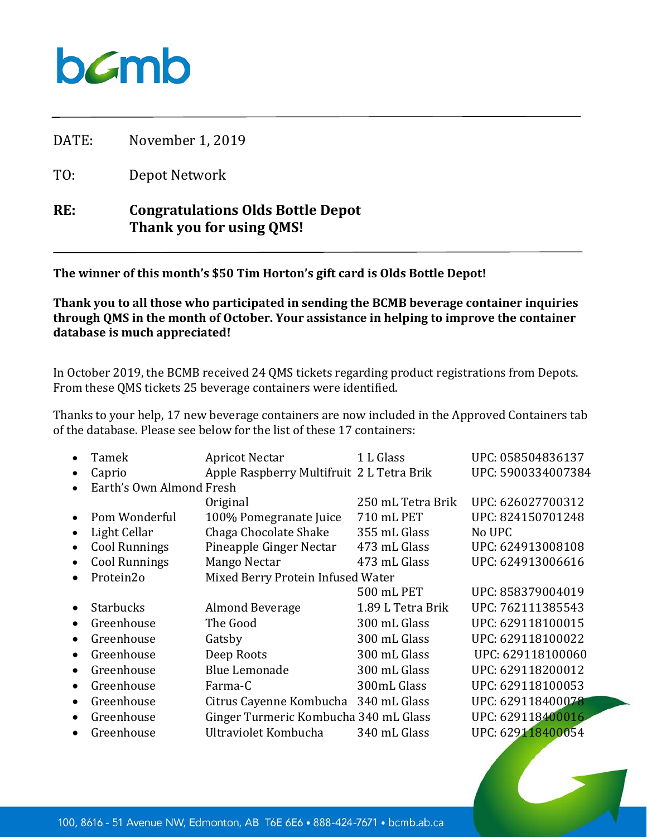## $b$ *C*mb

DATE: November 1, 2019

TO: Depot Network

## **RE: Congratulations Olds Bottle Depot Thank you for using QMS!**

**The winner of this month's \$50 Tim Horton's gift card is Olds Bottle Depot!**

**Thank you to all those who participated in sending the BCMB beverage container inquiries through QMS in the month of October. Your assistance in helping to improve the container database is much appreciated!**

In October 2019, the BCMB received 24 QMS tickets regarding product registrations from Depots. From these QMS tickets 25 beverage containers were identified.

Thanks to your help, 17 new beverage containers are now included in the Approved Containers tab of the database. Please see below for the list of these 17 containers:

|           | Tamek                    | <b>Apricot Nectar</b>                     | 1 L Glass         | UPC: 058504836137  |
|-----------|--------------------------|-------------------------------------------|-------------------|--------------------|
|           | Caprio                   | Apple Raspberry Multifruit 2 L Tetra Brik |                   | UPC: 5900334007384 |
|           | Earth's Own Almond Fresh |                                           |                   |                    |
|           |                          | Original                                  | 250 mL Tetra Brik | UPC: 626027700312  |
|           | Pom Wonderful            | 100% Pomegranate Juice                    | 710 mL PET        | UPC: 824150701248  |
|           | Light Cellar             | Chaga Chocolate Shake                     | 355 mL Glass      | No UPC             |
| $\bullet$ | <b>Cool Runnings</b>     | Pineapple Ginger Nectar                   | 473 mL Glass      | UPC: 624913008108  |
|           | <b>Cool Runnings</b>     | Mango Nectar                              | 473 mL Glass      | UPC: 624913006616  |
|           | Protein2o                | Mixed Berry Protein Infused Water         |                   |                    |
|           |                          |                                           | 500 mL PET        | UPC: 858379004019  |
| $\bullet$ | <b>Starbucks</b>         | Almond Beverage                           | 1.89 L Tetra Brik | UPC: 762111385543  |
| $\bullet$ | Greenhouse               | The Good                                  | 300 mL Glass      | UPC: 629118100015  |
| $\bullet$ | Greenhouse               | Gatsby                                    | 300 mL Glass      | UPC: 629118100022  |
| $\bullet$ | Greenhouse               | Deep Roots                                | 300 mL Glass      | UPC: 629118100060  |
| $\bullet$ | Greenhouse               | <b>Blue Lemonade</b>                      | 300 mL Glass      | UPC: 629118200012  |
| $\bullet$ | Greenhouse               | Farma-C                                   | 300mL Glass       | UPC: 629118100053  |
| $\bullet$ | Greenhouse               | Citrus Cayenne Kombucha                   | 340 mL Glass      | UPC: 629118400078  |
| $\bullet$ | Greenhouse               | Ginger Turmeric Kombucha 340 mL Glass     |                   | UPC: 629118400016  |
|           | Greenhouse               | Ultraviolet Kombucha                      | 340 mL Glass      | UPC: 629118400054  |